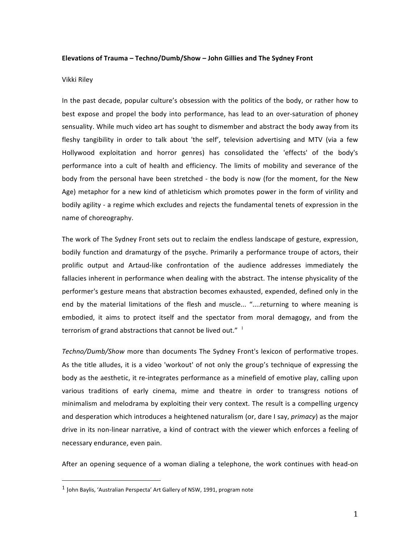## **Elevations of Trauma - Techno/Dumb/Show - John Gillies and The Sydney Front**

## Vikki Riley

In the past decade, popular culture's obsession with the politics of the body, or rather how to best expose and propel the body into performance, has lead to an over-saturation of phoney sensuality. While much video art has sought to dismember and abstract the body away from its fleshy tangibility in order to talk about 'the self', television advertising and MTV (via a few Hollywood exploitation and horror genres) has consolidated the 'effects' of the body's performance into a cult of health and efficiency. The limits of mobility and severance of the body from the personal have been stretched - the body is now (for the moment, for the New Age) metaphor for a new kind of athleticism which promotes power in the form of virility and bodily agility - a regime which excludes and rejects the fundamental tenets of expression in the name of choreography.

The work of The Sydney Front sets out to reclaim the endless landscape of gesture, expression, bodily function and dramaturgy of the psyche. Primarily a performance troupe of actors, their prolific output and Artaud-like confrontation of the audience addresses immediately the fallacies inherent in performance when dealing with the abstract. The intense physicality of the performer's gesture means that abstraction becomes exhausted, expended, defined only in the end by the material limitations of the flesh and muscle... "....returning to where meaning is embodied, it aims to protect itself and the spectator from moral demagogy, and from the terrorism of grand abstractions that cannot be lived out."  $1$ 

Techno/Dumb/Show more than documents The Sydney Front's lexicon of performative tropes. As the title alludes, it is a video 'workout' of not only the group's technique of expressing the body as the aesthetic, it re-integrates performance as a minefield of emotive play, calling upon various traditions of early cinema, mime and theatre in order to transgress notions of minimalism and melodrama by exploiting their very context. The result is a compelling urgency and desperation which introduces a heightened naturalism (or, dare I say, *primacy*) as the major drive in its non-linear narrative, a kind of contract with the viewer which enforces a feeling of necessary endurance, even pain.

After an opening sequence of a woman dialing a telephone, the work continues with head-on

 

 $1$  John Baylis, 'Australian Perspecta' Art Gallery of NSW, 1991, program note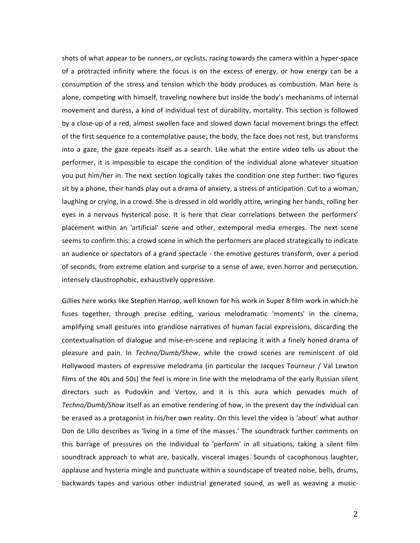shots of what appear to be runners, or cyclists, racing towards the camera within a hyper-space of a protracted infinity where the focus is on the excess of energy, or how energy can be a consumption of the stress and tension which the body produces as combustion. Man here is alone, competing with himself, traveling nowhere but inside the body's mechanisms of internal movement and duress, a kind of individual test of durability, mortality. This section is followed by a close-up of a red, almost swollen face and slowed down facial movement brings the effect of the first sequence to a contemplative pause; the body, the face does not rest, but transforms into a gaze, the gaze repeats itself as a search. Like what the entire video tells us about the performer, it is impossible to escape the condition of the individual alone whatever situation you put him/her in. The next section logically takes the condition one step further: two figures sit by a phone, their hands play out a drama of anxiety, a stress of anticipation. Cut to a woman, laughing or crying, in a crowd. She is dressed in old worldly attire, wringing her hands, rolling her eyes in a nervous hysterical pose. It is here that clear correlations between the performers' placement within an 'artificial' scene and other, extemporal media emerges. The next scene seems to confirm this: a crowd scene in which the performers are placed strategically to indicate an audience or spectators of a grand spectacle - the emotive gestures transform, over a period of seconds, from extreme elation and surprise to a sense of awe, even horror and persecution, intensely claustrophobic, exhaustively oppressive.

Gillies here works like Stephen Harrop, well known for his work in Super 8 film work in which he fuses together, through precise editing, various melodramatic 'moments' in the cinema, amplifying small gestures into grandiose narratives of human facial expressions, discarding the contextualisation of dialogue and mise-en-scene and replacing it with a finely honed drama of pleasure and pain. In *Techno/Dumb/Show*, while the crowd scenes are reminiscent of old Hollywood masters of expressive melodrama (in particular the Jacques Tourneur / Val Lewton films of the 40s and 50s) the feel is more in line with the melodrama of the early Russian silent directors such as Pudovkin and Vertov, and it is this aura which pervades much of *Techno/Dumb/Show* itself as an emotive rendering of how, in the present day the individual can be erased as a protagonist in his/her own reality. On this level the video is 'about' what author Don de Lillo describes as 'living in a time of the masses.' The soundtrack further comments on this barrage of pressures on the individual to 'perform' in all situations, taking a silent film soundtrack approach to what are, basically, visceral images. Sounds of cacophonous laughter, applause and hysteria mingle and punctuate within a soundscape of treated noise, bells, drums, backwards tapes and various other industrial generated sound, as well as weaving a music